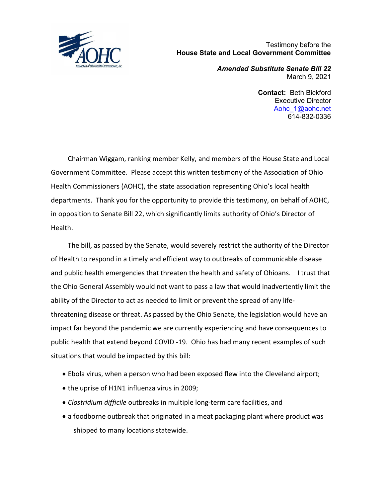

 Testimony before the House State and Local Government Committee

> Amended Substitute Senate Bill 22 March 9, 2021

> > Contact: Beth Bickford Executive Director Aohc 1@aohc.net 614-832-0336

 Chairman Wiggam, ranking member Kelly, and members of the House State and Local Government Committee. Please accept this written testimony of the Association of Ohio Health Commissioners (AOHC), the state association representing Ohio's local health departments. Thank you for the opportunity to provide this testimony, on behalf of AOHC, in opposition to Senate Bill 22, which significantly limits authority of Ohio's Director of Health.

 The bill, as passed by the Senate, would severely restrict the authority of the Director of Health to respond in a timely and efficient way to outbreaks of communicable disease and public health emergencies that threaten the health and safety of Ohioans. I trust that the Ohio General Assembly would not want to pass a law that would inadvertently limit the ability of the Director to act as needed to limit or prevent the spread of any lifethreatening disease or threat. As passed by the Ohio Senate, the legislation would have an impact far beyond the pandemic we are currently experiencing and have consequences to public health that extend beyond COVID -19. Ohio has had many recent examples of such situations that would be impacted by this bill:

- Ebola virus, when a person who had been exposed flew into the Cleveland airport;
- the uprise of H1N1 influenza virus in 2009;
- Clostridium difficile outbreaks in multiple long-term care facilities, and
- a foodborne outbreak that originated in a meat packaging plant where product was shipped to many locations statewide.